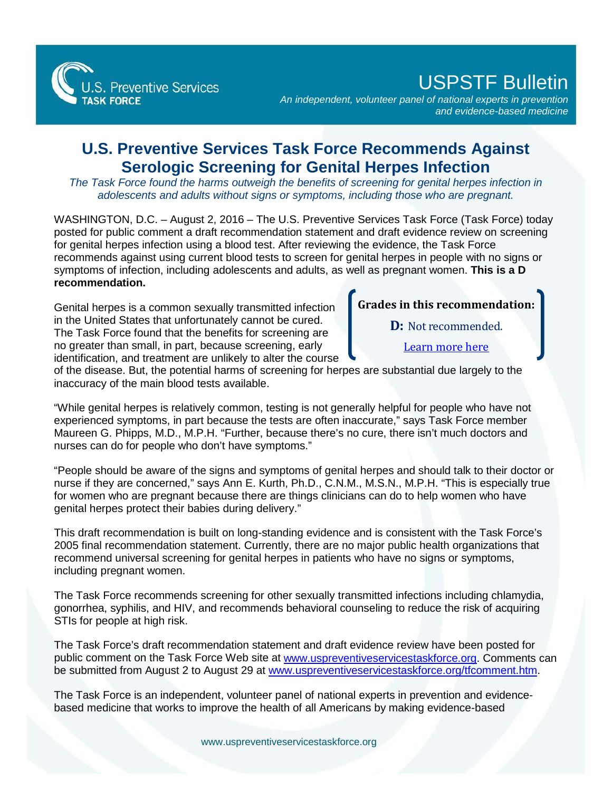

## USPSTF Bulletin

*An independent, volunteer panel of national experts in prevention and evidence-based medicine*

## **U.S. Preventive Services Task Force Recommends Against Serologic Screening for Genital Herpes Infection**

*The Task Force found the harms outweigh the benefits of screening for genital herpes infection in adolescents and adults without signs or symptoms, including those who are pregnant.* 

WASHINGTON, D.C. - August 2, 2016 - The U.S. Preventive Services Task Force (Task Force) today posted for public comment a draft recommendation statement and draft evidence review on screening for genital herpes infection using a blood test. After reviewing the evidence, the Task Force recommends against using current blood tests to screen for genital herpes in people with no signs or symptoms of infection, including adolescents and adults, as well as pregnant women. **This is a D recommendation.** 

Genital herpes is a common sexually transmitted infection in the United States that unfortunately cannot be cured. The Task Force found that the benefits for screening are no greater than small, in part, because screening, early identification, and treatment are unlikely to alter the course

## **Grades in this recommendation:**

**D:** Not recommended.

[Learn more here](http://www.uspreventiveservicestaskforce.org/Page/Name/grade-definitions)

of the disease. But, the potential harms of screening for herpes are substantial due largely to the inaccuracy of the main blood tests available.

"While genital herpes is relatively common, testing is not generally helpful for people who have not experienced symptoms, in part because the tests are often inaccurate," says Task Force member Maureen G. Phipps, M.D., M.P.H. "Further, because there's no cure, there isn't much doctors and nurses can do for people who don't have symptoms."

"People should be aware of the signs and symptoms of genital herpes and should talk to their doctor or nurse if they are concerned," says Ann E. Kurth, Ph.D., C.N.M., M.S.N., M.P.H. "This is especially true for women who are pregnant because there are things clinicians can do to help women who have genital herpes protect their babies during delivery."

This draft recommendation is built on long-standing evidence and is consistent with the Task Force's 2005 final recommendation statement. Currently, there are no major public health organizations that recommend universal screening for genital herpes in patients who have no signs or symptoms, including pregnant women.

The Task Force recommends screening for other sexually transmitted infections including chlamydia, gonorrhea, syphilis, and HIV, and recommends behavioral counseling to reduce the risk of acquiring STIs for people at high risk.

The Task Force's draft recommendation statement and draft evidence review have been posted for public comment on the Task Force Web site at [www.uspreventiveservicestaskforce.org.](http://www.uspreventiveservicestaskforce.org/) Comments can be submitted from August 2 to August 29 at [www.uspreventiveservicestaskforce.org/tfcomment.htm.](http://www.uspreventiveservicestaskforce.org/tfcomment.htm)

The Task Force is an independent, volunteer panel of national experts in prevention and evidencebased medicine that works to improve the health of all Americans by making evidence-based